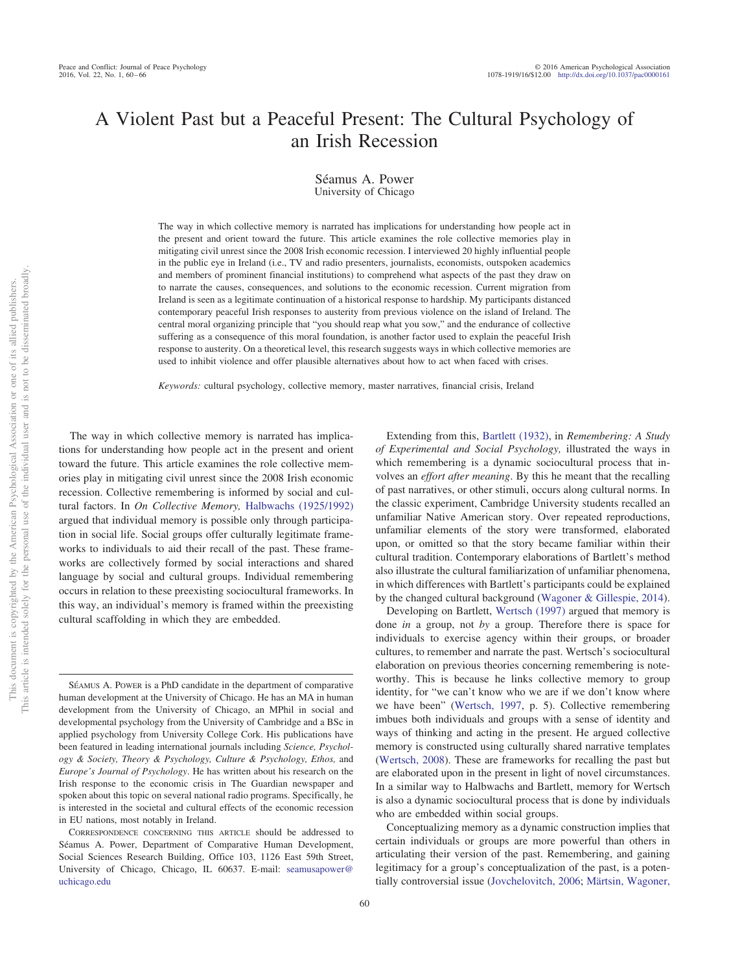# A Violent Past but a Peaceful Present: The Cultural Psychology of an Irish Recession

Séamus A. Power University of Chicago

The way in which collective memory is narrated has implications for understanding how people act in the present and orient toward the future. This article examines the role collective memories play in mitigating civil unrest since the 2008 Irish economic recession. I interviewed 20 highly influential people in the public eye in Ireland (i.e., TV and radio presenters, journalists, economists, outspoken academics and members of prominent financial institutions) to comprehend what aspects of the past they draw on to narrate the causes, consequences, and solutions to the economic recession. Current migration from Ireland is seen as a legitimate continuation of a historical response to hardship. My participants distanced contemporary peaceful Irish responses to austerity from previous violence on the island of Ireland. The central moral organizing principle that "you should reap what you sow," and the endurance of collective suffering as a consequence of this moral foundation, is another factor used to explain the peaceful Irish response to austerity. On a theoretical level, this research suggests ways in which collective memories are used to inhibit violence and offer plausible alternatives about how to act when faced with crises.

*Keywords:* cultural psychology, collective memory, master narratives, financial crisis, Ireland

The way in which collective memory is narrated has implications for understanding how people act in the present and orient toward the future. This article examines the role collective memories play in mitigating civil unrest since the 2008 Irish economic recession. Collective remembering is informed by social and cultural factors. In *On Collective Memory,* [Halbwachs \(1925/1992\)](#page-5-0) argued that individual memory is possible only through participation in social life. Social groups offer culturally legitimate frameworks to individuals to aid their recall of the past. These frameworks are collectively formed by social interactions and shared language by social and cultural groups. Individual remembering occurs in relation to these preexisting sociocultural frameworks. In this way, an individual's memory is framed within the preexisting cultural scaffolding in which they are embedded.

SÉAMUS A. POWER is a PhD candidate in the department of comparative human development at the University of Chicago. He has an MA in human development from the University of Chicago, an MPhil in social and developmental psychology from the University of Cambridge and a BSc in applied psychology from University College Cork. His publications have been featured in leading international journals including *Science, Psychology & Society, Theory & Psychology, Culture & Psychology, Ethos,* and *Europe's Journal of Psychology*. He has written about his research on the Irish response to the economic crisis in The Guardian newspaper and spoken about this topic on several national radio programs. Specifically, he is interested in the societal and cultural effects of the economic recession in EU nations, most notably in Ireland.

Extending from this, [Bartlett \(1932\),](#page-5-1) in *Remembering: A Study of Experimental and Social Psychology,* illustrated the ways in which remembering is a dynamic sociocultural process that involves an *effort after meaning*. By this he meant that the recalling of past narratives, or other stimuli, occurs along cultural norms. In the classic experiment, Cambridge University students recalled an unfamiliar Native American story. Over repeated reproductions, unfamiliar elements of the story were transformed, elaborated upon, or omitted so that the story became familiar within their cultural tradition. Contemporary elaborations of Bartlett's method also illustrate the cultural familiarization of unfamiliar phenomena, in which differences with Bartlett's participants could be explained by the changed cultural background [\(Wagoner & Gillespie, 2014\)](#page-6-0).

Developing on Bartlett, [Wertsch \(1997\)](#page-6-1) argued that memory is done *in* a group, not *by* a group. Therefore there is space for individuals to exercise agency within their groups, or broader cultures, to remember and narrate the past. Wertsch's sociocultural elaboration on previous theories concerning remembering is noteworthy. This is because he links collective memory to group identity, for "we can't know who we are if we don't know where we have been" [\(Wertsch, 1997,](#page-6-1) p. 5). Collective remembering imbues both individuals and groups with a sense of identity and ways of thinking and acting in the present. He argued collective memory is constructed using culturally shared narrative templates [\(Wertsch, 2008\)](#page-6-2). These are frameworks for recalling the past but are elaborated upon in the present in light of novel circumstances. In a similar way to Halbwachs and Bartlett, memory for Wertsch is also a dynamic sociocultural process that is done by individuals who are embedded within social groups.

Conceptualizing memory as a dynamic construction implies that certain individuals or groups are more powerful than others in articulating their version of the past. Remembering, and gaining legitimacy for a group's conceptualization of the past, is a potentially controversial issue [\(Jovchelovitch, 2006;](#page-5-2) [Märtsin, Wagoner,](#page-5-3)

CORRESPONDENCE CONCERNING THIS ARTICLE should be addressed to Séamus A. Power, Department of Comparative Human Development, Social Sciences Research Building, Office 103, 1126 East 59th Street, University of Chicago, Chicago, IL 60637. E-mail: [seamusapower@](mailto:seamusapower@uchicago.edu) [uchicago.edu](mailto:seamusapower@uchicago.edu)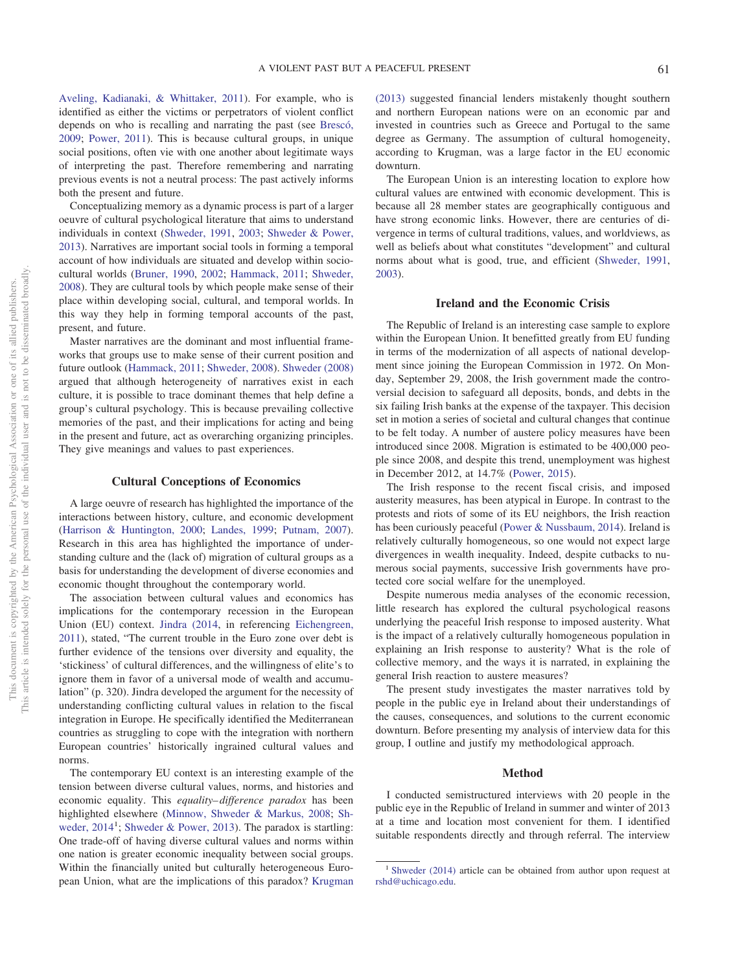[Aveling, Kadianaki, & Whittaker, 2011\)](#page-5-3). For example, who is identified as either the victims or perpetrators of violent conflict depends on who is recalling and narrating the past (see [Brescó,](#page-5-4) [2009;](#page-5-4) [Power, 2011\)](#page-5-5). This is because cultural groups, in unique social positions, often vie with one another about legitimate ways of interpreting the past. Therefore remembering and narrating previous events is not a neutral process: The past actively informs both the present and future.

Conceptualizing memory as a dynamic process is part of a larger oeuvre of cultural psychological literature that aims to understand individuals in context [\(Shweder, 1991,](#page-5-6) [2003;](#page-5-7) [Shweder & Power,](#page-6-3) [2013\)](#page-6-3). Narratives are important social tools in forming a temporal account of how individuals are situated and develop within sociocultural worlds [\(Bruner, 1990,](#page-5-8) [2002;](#page-5-9) [Hammack, 2011;](#page-5-10) [Shweder,](#page-5-11) [2008\)](#page-5-11). They are cultural tools by which people make sense of their place within developing social, cultural, and temporal worlds. In this way they help in forming temporal accounts of the past, present, and future.

Master narratives are the dominant and most influential frameworks that groups use to make sense of their current position and future outlook [\(Hammack, 2011;](#page-5-10) [Shweder, 2008\)](#page-5-11). [Shweder \(2008\)](#page-5-11) argued that although heterogeneity of narratives exist in each culture, it is possible to trace dominant themes that help define a group's cultural psychology. This is because prevailing collective memories of the past, and their implications for acting and being in the present and future, act as overarching organizing principles. They give meanings and values to past experiences.

#### **Cultural Conceptions of Economics**

A large oeuvre of research has highlighted the importance of the interactions between history, culture, and economic development [\(Harrison & Huntington, 2000;](#page-5-12) [Landes, 1999;](#page-5-13) [Putnam, 2007\)](#page-5-14). Research in this area has highlighted the importance of understanding culture and the (lack of) migration of cultural groups as a basis for understanding the development of diverse economies and economic thought throughout the contemporary world.

The association between cultural values and economics has implications for the contemporary recession in the European Union (EU) context. [Jindra \(2014,](#page-5-15) in referencing [Eichengreen,](#page-5-16) [2011\)](#page-5-16), stated, "The current trouble in the Euro zone over debt is further evidence of the tensions over diversity and equality, the 'stickiness' of cultural differences, and the willingness of elite's to ignore them in favor of a universal mode of wealth and accumulation" (p. 320). Jindra developed the argument for the necessity of understanding conflicting cultural values in relation to the fiscal integration in Europe. He specifically identified the Mediterranean countries as struggling to cope with the integration with northern European countries' historically ingrained cultural values and norms.

The contemporary EU context is an interesting example of the tension between diverse cultural values, norms, and histories and economic equality. This *equality– difference paradox* has been highlighted elsewhere [\(Minnow, Shweder & Markus, 2008;](#page-5-17) [Sh-](#page-5-18)weder, 2014<sup>1</sup>; [Shweder & Power, 2013\)](#page-6-3). The paradox is startling: One trade-off of having diverse cultural values and norms within one nation is greater economic inequality between social groups. Within the financially united but culturally heterogeneous European Union, what are the implications of this paradox? [Krugman](#page-5-19)

[\(2013\)](#page-5-19) suggested financial lenders mistakenly thought southern and northern European nations were on an economic par and invested in countries such as Greece and Portugal to the same degree as Germany. The assumption of cultural homogeneity, according to Krugman, was a large factor in the EU economic downturn.

The European Union is an interesting location to explore how cultural values are entwined with economic development. This is because all 28 member states are geographically contiguous and have strong economic links. However, there are centuries of divergence in terms of cultural traditions, values, and worldviews, as well as beliefs about what constitutes "development" and cultural norms about what is good, true, and efficient [\(Shweder, 1991,](#page-5-6) [2003\)](#page-5-7).

## **Ireland and the Economic Crisis**

The Republic of Ireland is an interesting case sample to explore within the European Union. It benefitted greatly from EU funding in terms of the modernization of all aspects of national development since joining the European Commission in 1972. On Monday, September 29, 2008, the Irish government made the controversial decision to safeguard all deposits, bonds, and debts in the six failing Irish banks at the expense of the taxpayer. This decision set in motion a series of societal and cultural changes that continue to be felt today. A number of austere policy measures have been introduced since 2008. Migration is estimated to be 400,000 people since 2008, and despite this trend, unemployment was highest in December 2012, at 14.7% [\(Power, 2015\)](#page-5-20).

The Irish response to the recent fiscal crisis, and imposed austerity measures, has been atypical in Europe. In contrast to the protests and riots of some of its EU neighbors, the Irish reaction has been curiously peaceful [\(Power & Nussbaum, 2014\)](#page-5-21). Ireland is relatively culturally homogeneous, so one would not expect large divergences in wealth inequality. Indeed, despite cutbacks to numerous social payments, successive Irish governments have protected core social welfare for the unemployed.

Despite numerous media analyses of the economic recession, little research has explored the cultural psychological reasons underlying the peaceful Irish response to imposed austerity. What is the impact of a relatively culturally homogeneous population in explaining an Irish response to austerity? What is the role of collective memory, and the ways it is narrated, in explaining the general Irish reaction to austere measures?

The present study investigates the master narratives told by people in the public eye in Ireland about their understandings of the causes, consequences, and solutions to the current economic downturn. Before presenting my analysis of interview data for this group, I outline and justify my methodological approach.

#### **Method**

I conducted semistructured interviews with 20 people in the public eye in the Republic of Ireland in summer and winter of 2013 at a time and location most convenient for them. I identified suitable respondents directly and through referral. The interview

<sup>&</sup>lt;sup>1</sup> [Shweder \(2014\)](#page-5-18) article can be obtained from author upon request at [rshd@uchicago.edu.](mailto:rshd@uchicago.edu)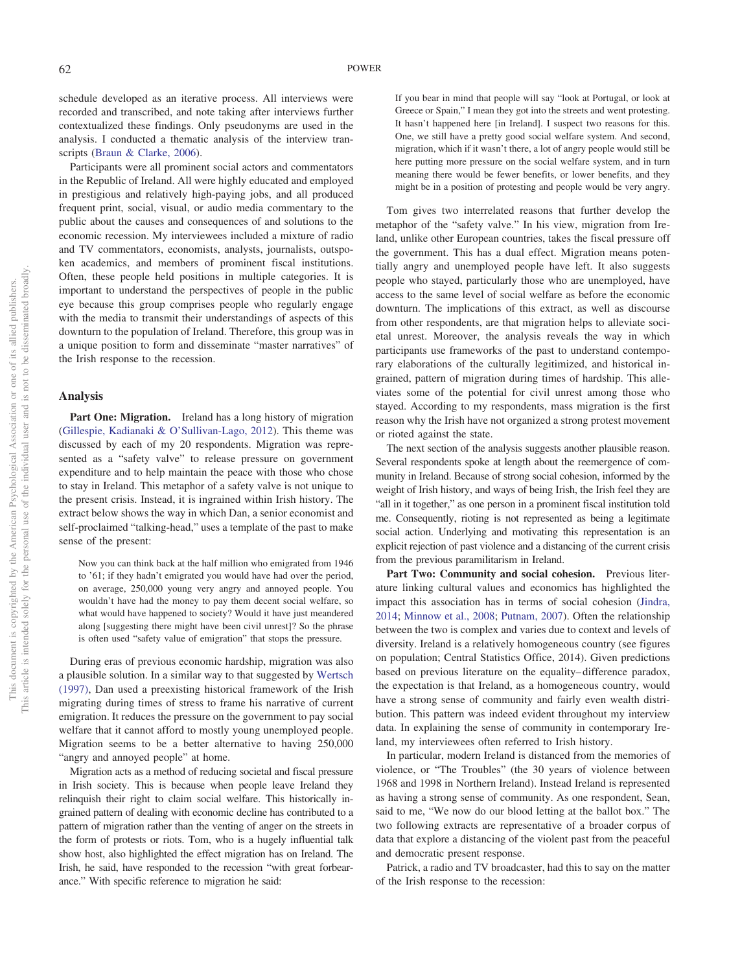schedule developed as an iterative process. All interviews were recorded and transcribed, and note taking after interviews further contextualized these findings. Only pseudonyms are used in the analysis. I conducted a thematic analysis of the interview transcripts [\(Braun & Clarke, 2006\)](#page-5-22).

Participants were all prominent social actors and commentators in the Republic of Ireland. All were highly educated and employed in prestigious and relatively high-paying jobs, and all produced frequent print, social, visual, or audio media commentary to the public about the causes and consequences of and solutions to the economic recession. My interviewees included a mixture of radio and TV commentators, economists, analysts, journalists, outspoken academics, and members of prominent fiscal institutions. Often, these people held positions in multiple categories. It is important to understand the perspectives of people in the public eye because this group comprises people who regularly engage with the media to transmit their understandings of aspects of this downturn to the population of Ireland. Therefore, this group was in a unique position to form and disseminate "master narratives" of the Irish response to the recession.

## **Analysis**

Part One: Migration. Ireland has a long history of migration [\(Gillespie, Kadianaki & O'Sullivan-Lago, 2012\)](#page-5-23). This theme was discussed by each of my 20 respondents. Migration was represented as a "safety valve" to release pressure on government expenditure and to help maintain the peace with those who chose to stay in Ireland. This metaphor of a safety valve is not unique to the present crisis. Instead, it is ingrained within Irish history. The extract below shows the way in which Dan, a senior economist and self-proclaimed "talking-head," uses a template of the past to make sense of the present:

Now you can think back at the half million who emigrated from 1946 to '61; if they hadn't emigrated you would have had over the period, on average, 250,000 young very angry and annoyed people. You wouldn't have had the money to pay them decent social welfare, so what would have happened to society? Would it have just meandered along [suggesting there might have been civil unrest]? So the phrase is often used "safety value of emigration" that stops the pressure.

During eras of previous economic hardship, migration was also a plausible solution. In a similar way to that suggested by [Wertsch](#page-6-1) [\(1997\),](#page-6-1) Dan used a preexisting historical framework of the Irish migrating during times of stress to frame his narrative of current emigration. It reduces the pressure on the government to pay social welfare that it cannot afford to mostly young unemployed people. Migration seems to be a better alternative to having 250,000 "angry and annoyed people" at home.

Migration acts as a method of reducing societal and fiscal pressure in Irish society. This is because when people leave Ireland they relinquish their right to claim social welfare. This historically ingrained pattern of dealing with economic decline has contributed to a pattern of migration rather than the venting of anger on the streets in the form of protests or riots. Tom, who is a hugely influential talk show host, also highlighted the effect migration has on Ireland. The Irish, he said, have responded to the recession "with great forbearance." With specific reference to migration he said:

If you bear in mind that people will say "look at Portugal, or look at Greece or Spain," I mean they got into the streets and went protesting. It hasn't happened here [in Ireland]. I suspect two reasons for this. One, we still have a pretty good social welfare system. And second, migration, which if it wasn't there, a lot of angry people would still be here putting more pressure on the social welfare system, and in turn meaning there would be fewer benefits, or lower benefits, and they might be in a position of protesting and people would be very angry.

Tom gives two interrelated reasons that further develop the metaphor of the "safety valve." In his view, migration from Ireland, unlike other European countries, takes the fiscal pressure off the government. This has a dual effect. Migration means potentially angry and unemployed people have left. It also suggests people who stayed, particularly those who are unemployed, have access to the same level of social welfare as before the economic downturn. The implications of this extract, as well as discourse from other respondents, are that migration helps to alleviate societal unrest. Moreover, the analysis reveals the way in which participants use frameworks of the past to understand contemporary elaborations of the culturally legitimized, and historical ingrained, pattern of migration during times of hardship. This alleviates some of the potential for civil unrest among those who stayed. According to my respondents, mass migration is the first reason why the Irish have not organized a strong protest movement or rioted against the state.

The next section of the analysis suggests another plausible reason. Several respondents spoke at length about the reemergence of community in Ireland. Because of strong social cohesion, informed by the weight of Irish history, and ways of being Irish, the Irish feel they are "all in it together," as one person in a prominent fiscal institution told me. Consequently, rioting is not represented as being a legitimate social action. Underlying and motivating this representation is an explicit rejection of past violence and a distancing of the current crisis from the previous paramilitarism in Ireland.

Part Two: Community and social cohesion. Previous literature linking cultural values and economics has highlighted the impact this association has in terms of social cohesion [\(Jindra,](#page-5-15) [2014;](#page-5-15) [Minnow et al., 2008;](#page-5-17) [Putnam, 2007\)](#page-5-14). Often the relationship between the two is complex and varies due to context and levels of diversity. Ireland is a relatively homogeneous country (see figures on population; Central Statistics Office, 2014). Given predictions based on previous literature on the equality– difference paradox, the expectation is that Ireland, as a homogeneous country, would have a strong sense of community and fairly even wealth distribution. This pattern was indeed evident throughout my interview data. In explaining the sense of community in contemporary Ireland, my interviewees often referred to Irish history.

In particular, modern Ireland is distanced from the memories of violence, or "The Troubles" (the 30 years of violence between 1968 and 1998 in Northern Ireland). Instead Ireland is represented as having a strong sense of community. As one respondent, Sean, said to me, "We now do our blood letting at the ballot box." The two following extracts are representative of a broader corpus of data that explore a distancing of the violent past from the peaceful and democratic present response.

Patrick, a radio and TV broadcaster, had this to say on the matter of the Irish response to the recession: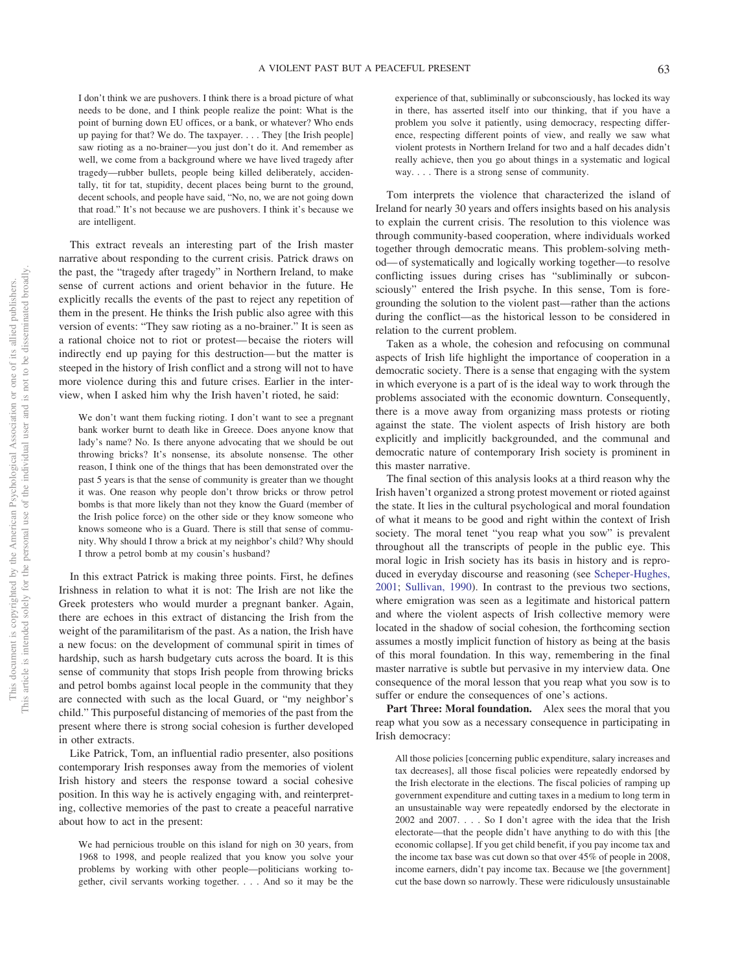I don't think we are pushovers. I think there is a broad picture of what needs to be done, and I think people realize the point: What is the point of burning down EU offices, or a bank, or whatever? Who ends up paying for that? We do. The taxpayer.... They [the Irish people] saw rioting as a no-brainer—you just don't do it. And remember as well, we come from a background where we have lived tragedy after tragedy—rubber bullets, people being killed deliberately, accidentally, tit for tat, stupidity, decent places being burnt to the ground, decent schools, and people have said, "No, no, we are not going down that road." It's not because we are pushovers. I think it's because we are intelligent.

This extract reveals an interesting part of the Irish master narrative about responding to the current crisis. Patrick draws on the past, the "tragedy after tragedy" in Northern Ireland, to make sense of current actions and orient behavior in the future. He explicitly recalls the events of the past to reject any repetition of them in the present. He thinks the Irish public also agree with this version of events: "They saw rioting as a no-brainer." It is seen as a rational choice not to riot or protest— becaise the rioters will indirectly end up paying for this destruction— but the matter is steeped in the history of Irish conflict and a strong will not to have more violence during this and future crises. Earlier in the interview, when I asked him why the Irish haven't rioted, he said:

We don't want them fucking rioting. I don't want to see a pregnant bank worker burnt to death like in Greece. Does anyone know that lady's name? No. Is there anyone advocating that we should be out throwing bricks? It's nonsense, its absolute nonsense. The other reason, I think one of the things that has been demonstrated over the past 5 years is that the sense of community is greater than we thought it was. One reason why people don't throw bricks or throw petrol bombs is that more likely than not they know the Guard (member of the Irish police force) on the other side or they know someone who knows someone who is a Guard. There is still that sense of community. Why should I throw a brick at my neighbor's child? Why should I throw a petrol bomb at my cousin's husband?

In this extract Patrick is making three points. First, he defines Irishness in relation to what it is not: The Irish are not like the Greek protesters who would murder a pregnant banker. Again, there are echoes in this extract of distancing the Irish from the weight of the paramilitarism of the past. As a nation, the Irish have a new focus: on the development of communal spirit in times of hardship, such as harsh budgetary cuts across the board. It is this sense of community that stops Irish people from throwing bricks and petrol bombs against local people in the community that they are connected with such as the local Guard, or "my neighbor's child." This purposeful distancing of memories of the past from the present where there is strong social cohesion is further developed in other extracts.

Like Patrick, Tom, an influential radio presenter, also positions contemporary Irish responses away from the memories of violent Irish history and steers the response toward a social cohesive position. In this way he is actively engaging with, and reinterpreting, collective memories of the past to create a peaceful narrative about how to act in the present:

We had pernicious trouble on this island for nigh on 30 years, from 1968 to 1998, and people realized that you know you solve your problems by working with other people—politicians working together, civil servants working together. . . . And so it may be the

experience of that, subliminally or subconsciously, has locked its way in there, has asserted itself into our thinking, that if you have a problem you solve it patiently, using democracy, respecting difference, respecting different points of view, and really we saw what violent protests in Northern Ireland for two and a half decades didn't really achieve, then you go about things in a systematic and logical way. . . . There is a strong sense of community.

Tom interprets the violence that characterized the island of Ireland for nearly 30 years and offers insights based on his analysis to explain the current crisis. The resolution to this violence was through community-based cooperation, where individuals worked together through democratic means. This problem-solving method— of systematically and logically working together—to resolve conflicting issues during crises has "subliminally or subconsciously" entered the Irish psyche. In this sense, Tom is foregrounding the solution to the violent past—rather than the actions during the conflict—as the historical lesson to be considered in relation to the current problem.

Taken as a whole, the cohesion and refocusing on communal aspects of Irish life highlight the importance of cooperation in a democratic society. There is a sense that engaging with the system in which everyone is a part of is the ideal way to work through the problems associated with the economic downturn. Consequently, there is a move away from organizing mass protests or rioting against the state. The violent aspects of Irish history are both explicitly and implicitly backgrounded, and the communal and democratic nature of contemporary Irish society is prominent in this master narrative.

The final section of this analysis looks at a third reason why the Irish haven't organized a strong protest movement or rioted against the state. It lies in the cultural psychological and moral foundation of what it means to be good and right within the context of Irish society. The moral tenet "you reap what you sow" is prevalent throughout all the transcripts of people in the public eye. This moral logic in Irish society has its basis in history and is reproduced in everyday discourse and reasoning (see [Scheper-Hughes,](#page-5-24) [2001;](#page-5-24) [Sullivan, 1990\)](#page-6-4). In contrast to the previous two sections, where emigration was seen as a legitimate and historical pattern and where the violent aspects of Irish collective memory were located in the shadow of social cohesion, the forthcoming section assumes a mostly implicit function of history as being at the basis of this moral foundation. In this way, remembering in the final master narrative is subtle but pervasive in my interview data. One consequence of the moral lesson that you reap what you sow is to suffer or endure the consequences of one's actions.

Part Three: Moral foundation. Alex sees the moral that you reap what you sow as a necessary consequence in participating in Irish democracy:

All those policies [concerning public expenditure, salary increases and tax decreases], all those fiscal policies were repeatedly endorsed by the Irish electorate in the elections. The fiscal policies of ramping up government expenditure and cutting taxes in a medium to long term in an unsustainable way were repeatedly endorsed by the electorate in 2002 and 2007. . . . So I don't agree with the idea that the Irish electorate—that the people didn't have anything to do with this [the economic collapse]. If you get child benefit, if you pay income tax and the income tax base was cut down so that over 45% of people in 2008, income earners, didn't pay income tax. Because we [the government] cut the base down so narrowly. These were ridiculously unsustainable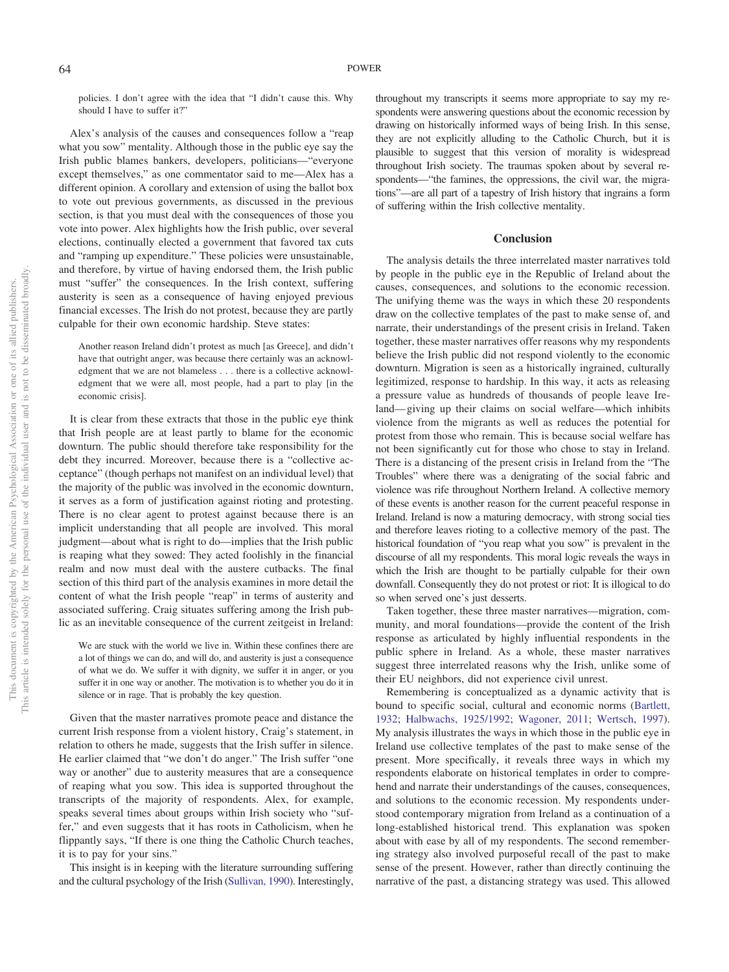policies. I don't agree with the idea that "I didn't cause this. Why should I have to suffer it?"

Alex's analysis of the causes and consequences follow a "reap what you sow" mentality. Although those in the public eye say the Irish public blames bankers, developers, politicians—"everyone except themselves," as one commentator said to me—Alex has a different opinion. A corollary and extension of using the ballot box to vote out previous governments, as discussed in the previous section, is that you must deal with the consequences of those you vote into power. Alex highlights how the Irish public, over several elections, continually elected a government that favored tax cuts and "ramping up expenditure." These policies were unsustainable, and therefore, by virtue of having endorsed them, the Irish public must "suffer" the consequences. In the Irish context, suffering austerity is seen as a consequence of having enjoyed previous financial excesses. The Irish do not protest, because they are partly culpable for their own economic hardship. Steve states:

Another reason Ireland didn't protest as much [as Greece], and didn't have that outright anger, was because there certainly was an acknowledgment that we are not blameless... there is a collective acknowledgment that we were all, most people, had a part to play [in the economic crisis].

It is clear from these extracts that those in the public eye think that Irish people are at least partly to blame for the economic downturn. The public should therefore take responsibility for the debt they incurred. Moreover, because there is a "collective acceptance" (though perhaps not manifest on an individual level) that the majority of the public was involved in the economic downturn, it serves as a form of justification against rioting and protesting. There is no clear agent to protest against because there is an implicit understanding that all people are involved. This moral judgment—about what is right to do—implies that the Irish public is reaping what they sowed: They acted foolishly in the financial realm and now must deal with the austere cutbacks. The final section of this third part of the analysis examines in more detail the content of what the Irish people "reap" in terms of austerity and associated suffering. Craig situates suffering among the Irish public as an inevitable consequence of the current zeitgeist in Ireland:

We are stuck with the world we live in. Within these confines there are a lot of things we can do, and will do, and austerity is just a consequence of what we do. We suffer it with dignity, we suffer it in anger, or you suffer it in one way or another. The motivation is to whether you do it in silence or in rage. That is probably the key question.

Given that the master narratives promote peace and distance the current Irish response from a violent history, Craig's statement, in relation to others he made, suggests that the Irish suffer in silence. He earlier claimed that "we don't do anger." The Irish suffer "one way or another" due to austerity measures that are a consequence of reaping what you sow. This idea is supported throughout the transcripts of the majority of respondents. Alex, for example, speaks several times about groups within Irish society who "suffer," and even suggests that it has roots in Catholicism, when he flippantly says, "If there is one thing the Catholic Church teaches, it is to pay for your sins."

This insight is in keeping with the literature surrounding suffering and the cultural psychology of the Irish [\(Sullivan, 1990\)](#page-6-4). Interestingly, throughout my transcripts it seems more appropriate to say my respondents were answering questions about the economic recession by drawing on historically informed ways of being Irish. In this sense, they are not explicitly alluding to the Catholic Church, but it is plausible to suggest that this version of morality is widespread throughout Irish society. The traumas spoken about by several respondents—"the famines, the oppressions, the civil war, the migrations"—are all part of a tapestry of Irish history that ingrains a form of suffering within the Irish collective mentality.

#### **Conclusion**

The analysis details the three interrelated master narratives told by people in the public eye in the Republic of Ireland about the causes, consequences, and solutions to the economic recession. The unifying theme was the ways in which these 20 respondents draw on the collective templates of the past to make sense of, and narrate, their understandings of the present crisis in Ireland. Taken together, these master narratives offer reasons why my respondents believe the Irish public did not respond violently to the economic downturn. Migration is seen as a historically ingrained, culturally legitimized, response to hardship. In this way, it acts as releasing a pressure value as hundreds of thousands of people leave Ireland— giving up their claims on social welfare—which inhibits violence from the migrants as well as reduces the potential for protest from those who remain. This is because social welfare has not been significantly cut for those who chose to stay in Ireland. There is a distancing of the present crisis in Ireland from the "The Troubles" where there was a denigrating of the social fabric and violence was rife throughout Northern Ireland. A collective memory of these events is another reason for the current peaceful response in Ireland. Ireland is now a maturing democracy, with strong social ties and therefore leaves rioting to a collective memory of the past. The historical foundation of "you reap what you sow" is prevalent in the discourse of all my respondents. This moral logic reveals the ways in which the Irish are thought to be partially culpable for their own downfall. Consequently they do not protest or riot: It is illogical to do so when served one's just desserts.

Taken together, these three master narratives—migration, community, and moral foundations—provide the content of the Irish response as articulated by highly influential respondents in the public sphere in Ireland. As a whole, these master narratives suggest three interrelated reasons why the Irish, unlike some of their EU neighbors, did not experience civil unrest.

Remembering is conceptualized as a dynamic activity that is bound to specific social, cultural and economic norms [\(Bartlett,](#page-5-1) [1932;](#page-5-1) [Halbwachs, 1925/1992;](#page-5-0) [Wagoner, 2011;](#page-6-5) [Wertsch, 1997\)](#page-6-1). My analysis illustrates the ways in which those in the public eye in Ireland use collective templates of the past to make sense of the present. More specifically, it reveals three ways in which my respondents elaborate on historical templates in order to comprehend and narrate their understandings of the causes, consequences, and solutions to the economic recession. My respondents understood contemporary migration from Ireland as a continuation of a long-established historical trend. This explanation was spoken about with ease by all of my respondents. The second remembering strategy also involved purposeful recall of the past to make sense of the present. However, rather than directly continuing the narrative of the past, a distancing strategy was used. This allowed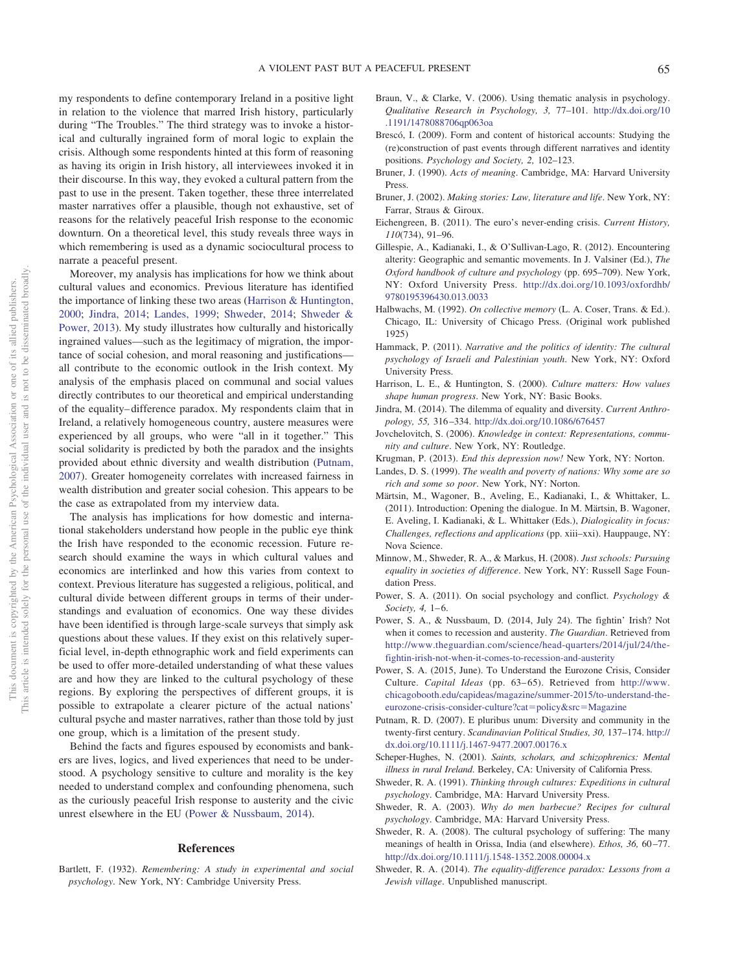my respondents to define contemporary Ireland in a positive light in relation to the violence that marred Irish history, particularly during "The Troubles." The third strategy was to invoke a historical and culturally ingrained form of moral logic to explain the crisis. Although some respondents hinted at this form of reasoning as having its origin in Irish history, all interviewees invoked it in their discourse. In this way, they evoked a cultural pattern from the past to use in the present. Taken together, these three interrelated master narratives offer a plausible, though not exhaustive, set of reasons for the relatively peaceful Irish response to the economic downturn. On a theoretical level, this study reveals three ways in which remembering is used as a dynamic sociocultural process to narrate a peaceful present.

Moreover, my analysis has implications for how we think about cultural values and economics. Previous literature has identified the importance of linking these two areas [\(Harrison & Huntington,](#page-5-12) [2000;](#page-5-12) [Jindra, 2014;](#page-5-15) [Landes, 1999;](#page-5-13) [Shweder, 2014;](#page-5-18) [Shweder &](#page-6-3) [Power, 2013\)](#page-6-3). My study illustrates how culturally and historically ingrained values—such as the legitimacy of migration, the importance of social cohesion, and moral reasoning and justifications all contribute to the economic outlook in the Irish context. My analysis of the emphasis placed on communal and social values directly contributes to our theoretical and empirical understanding of the equality– difference paradox. My respondents claim that in Ireland, a relatively homogeneous country, austere measures were experienced by all groups, who were "all in it together." This social solidarity is predicted by both the paradox and the insights provided about ethnic diversity and wealth distribution [\(Putnam,](#page-5-14) [2007\)](#page-5-14). Greater homogeneity correlates with increased fairness in wealth distribution and greater social cohesion. This appears to be the case as extrapolated from my interview data.

The analysis has implications for how domestic and international stakeholders understand how people in the public eye think the Irish have responded to the economic recession. Future research should examine the ways in which cultural values and economics are interlinked and how this varies from context to context. Previous literature has suggested a religious, political, and cultural divide between different groups in terms of their understandings and evaluation of economics. One way these divides have been identified is through large-scale surveys that simply ask questions about these values. If they exist on this relatively superficial level, in-depth ethnographic work and field experiments can be used to offer more-detailed understanding of what these values are and how they are linked to the cultural psychology of these regions. By exploring the perspectives of different groups, it is possible to extrapolate a clearer picture of the actual nations' cultural psyche and master narratives, rather than those told by just one group, which is a limitation of the present study.

Behind the facts and figures espoused by economists and bankers are lives, logics, and lived experiences that need to be understood. A psychology sensitive to culture and morality is the key needed to understand complex and confounding phenomena, such as the curiously peaceful Irish response to austerity and the civic unrest elsewhere in the EU [\(Power & Nussbaum, 2014\)](#page-5-21).

# **References**

<span id="page-5-1"></span>Bartlett, F. (1932). *Remembering: A study in experimental and social psychology*. New York, NY: Cambridge University Press.

- <span id="page-5-22"></span>Braun, V., & Clarke, V. (2006). Using thematic analysis in psychology. *Qualitative Research in Psychology, 3,* 77–101. [http://dx.doi.org/10](http://dx.doi.org/10.1191/1478088706qp063oa) [.1191/1478088706qp063oa](http://dx.doi.org/10.1191/1478088706qp063oa)
- <span id="page-5-4"></span>Brescó, I. (2009). Form and content of historical accounts: Studying the (re)construction of past events through different narratives and identity positions. *Psychology and Society, 2,* 102–123.
- <span id="page-5-8"></span>Bruner, J. (1990). *Acts of meaning*. Cambridge, MA: Harvard University Press.
- <span id="page-5-9"></span>Bruner, J. (2002). *Making stories: Law, literature and life*. New York, NY: Farrar, Straus & Giroux.
- <span id="page-5-16"></span>Eichengreen, B. (2011). The euro's never-ending crisis. *Current History, 110*(734), 91–96.
- <span id="page-5-23"></span>Gillespie, A., Kadianaki, I., & O'Sullivan-Lago, R. (2012). Encountering alterity: Geographic and semantic movements. In J. Valsiner (Ed.), *The Oxford handbook of culture and psychology* (pp. 695–709). New York, NY: Oxford University Press. [http://dx.doi.org/10.1093/oxfordhb/](http://dx.doi.org/10.1093/oxfordhb/9780195396430.013.0033) [9780195396430.013.0033](http://dx.doi.org/10.1093/oxfordhb/9780195396430.013.0033)
- <span id="page-5-0"></span>Halbwachs, M. (1992). *On collective memory* (L. A. Coser, Trans. & Ed.). Chicago, IL: University of Chicago Press. (Original work published 1925)
- <span id="page-5-10"></span>Hammack, P. (2011). *Narrative and the politics of identity: The cultural psychology of Israeli and Palestinian youth*. New York, NY: Oxford University Press.
- <span id="page-5-12"></span>Harrison, L. E., & Huntington, S. (2000). *Culture matters: How values shape human progress*. New York, NY: Basic Books.
- <span id="page-5-15"></span>Jindra, M. (2014). The dilemma of equality and diversity. *Current Anthropology, 55,* 316 –334. <http://dx.doi.org/10.1086/676457>
- <span id="page-5-2"></span>Jovchelovitch, S. (2006). *Knowledge in context: Representations, community and culture*. New York, NY: Routledge.
- <span id="page-5-19"></span>Krugman, P. (2013). *End this depression now!* New York, NY: Norton.
- <span id="page-5-13"></span>Landes, D. S. (1999). *The wealth and poverty of nations: Why some are so rich and some so poor*. New York, NY: Norton.
- <span id="page-5-3"></span>Märtsin, M., Wagoner, B., Aveling, E., Kadianaki, I., & Whittaker, L. (2011). Introduction: Opening the dialogue. In M. Märtsin, B. Wagoner, E. Aveling, I. Kadianaki, & L. Whittaker (Eds.), *Dialogicality in focus: Challenges, reflections and applications* (pp. xiii–xxi). Hauppauge, NY: Nova Science.
- <span id="page-5-17"></span>Minnow, M., Shweder, R. A., & Markus, H. (2008). *Just schools: Pursuing equality in societies of difference*. New York, NY: Russell Sage Foundation Press.
- <span id="page-5-5"></span>Power, S. A. (2011). On social psychology and conflict. *Psychology & Society, 4, 1–6.*
- <span id="page-5-21"></span>Power, S. A., & Nussbaum, D. (2014, July 24). The fightin' Irish? Not when it comes to recession and austerity. *The Guardian*. Retrieved from [http://www.theguardian.com/science/head-quarters/2014/jul/24/the](http://www.theguardian.com/science/head-quarters/2014/jul/24/the-fightin-irish-not-when-it-comes-to-recession-and-austerity)[fightin-irish-not-when-it-comes-to-recession-and-austerity](http://www.theguardian.com/science/head-quarters/2014/jul/24/the-fightin-irish-not-when-it-comes-to-recession-and-austerity)
- <span id="page-5-20"></span>Power, S. A. (2015, June). To Understand the Eurozone Crisis, Consider Culture. *Capital Ideas* (pp. 63-65). Retrieved from [http://www.](http://www.chicagobooth.edu/capideas/magazine/summer-2015/to-understand-the-eurozone-crisis-consider-culture?cat=policy&src=Magazine) [chicagobooth.edu/capideas/magazine/summer-2015/to-understand-the](http://www.chicagobooth.edu/capideas/magazine/summer-2015/to-understand-the-eurozone-crisis-consider-culture?cat=policy&src=Magazine)[eurozone-crisis-consider-culture?cat](http://www.chicagobooth.edu/capideas/magazine/summer-2015/to-understand-the-eurozone-crisis-consider-culture?cat=policy&src=Magazine)=policy&src=Magazine
- <span id="page-5-14"></span>Putnam, R. D. (2007). E pluribus unum: Diversity and community in the twenty-first century. *Scandinavian Political Studies, 30,* 137–174. [http://](http://dx.doi.org/10.1111/j.1467-9477.2007.00176.x) [dx.doi.org/10.1111/j.1467-9477.2007.00176.x](http://dx.doi.org/10.1111/j.1467-9477.2007.00176.x)
- <span id="page-5-24"></span>Scheper-Hughes, N. (2001). *Saints, scholars, and schizophrenics: Mental illness in rural Ireland*. Berkeley, CA: University of California Press.
- <span id="page-5-6"></span>Shweder, R. A. (1991). *Thinking through cultures: Expeditions in cultural psychology*. Cambridge, MA: Harvard University Press.
- <span id="page-5-7"></span>Shweder, R. A. (2003). *Why do men barbecue? Recipes for cultural psychology*. Cambridge, MA: Harvard University Press.
- <span id="page-5-11"></span>Shweder, R. A. (2008). The cultural psychology of suffering: The many meanings of health in Orissa, India (and elsewhere). *Ethos, 36, 60-77*. <http://dx.doi.org/10.1111/j.1548-1352.2008.00004.x>
- <span id="page-5-18"></span>Shweder, R. A. (2014). *The equality-difference paradox: Lessons from a Jewish village*. Unpublished manuscript.